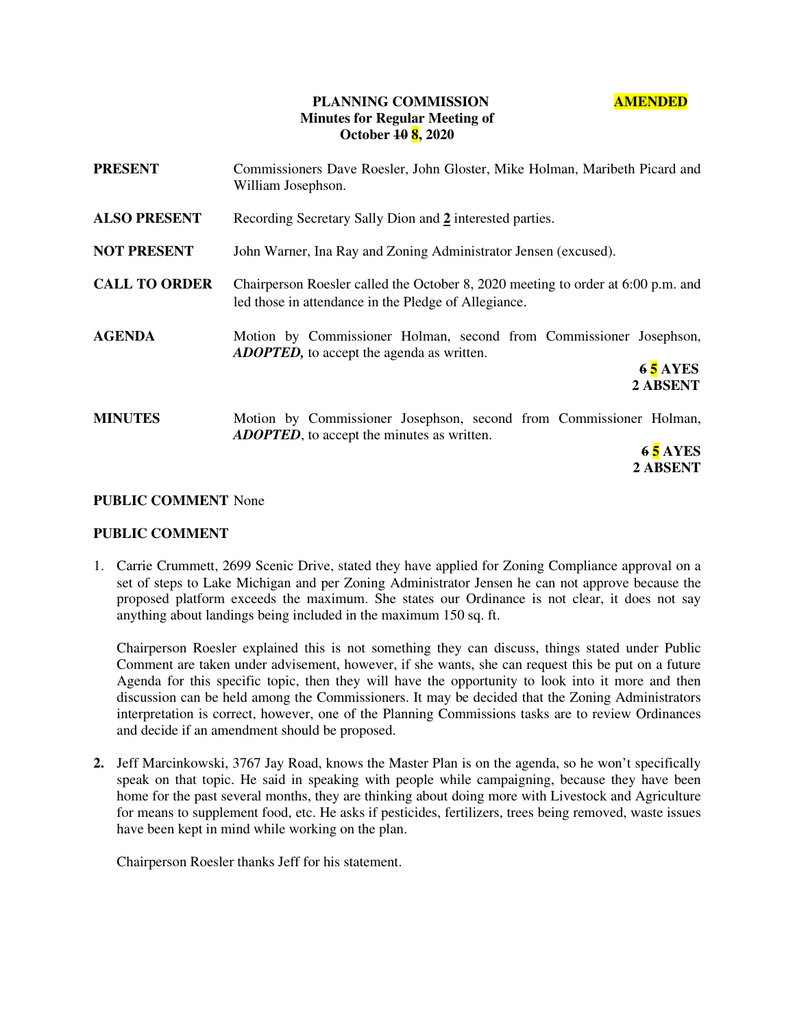## **PLANNING COMMISSION AMENDED Minutes for Regular Meeting of October 10 8, 2020**

| <b>PRESENT</b>       | Commissioners Dave Roesler, John Gloster, Mike Holman, Maribeth Picard and<br>William Josephson.                                                      |
|----------------------|-------------------------------------------------------------------------------------------------------------------------------------------------------|
| <b>ALSO PRESENT</b>  | Recording Secretary Sally Dion and 2 interested parties.                                                                                              |
| <b>NOT PRESENT</b>   | John Warner, Ina Ray and Zoning Administrator Jensen (excused).                                                                                       |
| <b>CALL TO ORDER</b> | Chairperson Roesler called the October 8, 2020 meeting to order at $6:00$ p.m. and<br>led those in attendance in the Pledge of Allegiance.            |
| <b>AGENDA</b>        | Motion by Commissioner Holman, second from Commissioner Josephson,<br><b>ADOPTED</b> , to accept the agenda as written.<br><b>65 AYES</b><br>2 ABSENT |
| <b>MINUTES</b>       | Motion by Commissioner Josephson, second from Commissioner Holman,<br><b>ADOPTED</b> , to accept the minutes as written.<br><b>65 AYES</b>            |

**2 ABSENT** 

### **PUBLIC COMMENT** None

## **PUBLIC COMMENT**

1. Carrie Crummett, 2699 Scenic Drive, stated they have applied for Zoning Compliance approval on a set of steps to Lake Michigan and per Zoning Administrator Jensen he can not approve because the proposed platform exceeds the maximum. She states our Ordinance is not clear, it does not say anything about landings being included in the maximum 150 sq. ft.

Chairperson Roesler explained this is not something they can discuss, things stated under Public Comment are taken under advisement, however, if she wants, she can request this be put on a future Agenda for this specific topic, then they will have the opportunity to look into it more and then discussion can be held among the Commissioners. It may be decided that the Zoning Administrators interpretation is correct, however, one of the Planning Commissions tasks are to review Ordinances and decide if an amendment should be proposed.

**2.** Jeff Marcinkowski, 3767 Jay Road, knows the Master Plan is on the agenda, so he won't specifically speak on that topic. He said in speaking with people while campaigning, because they have been home for the past several months, they are thinking about doing more with Livestock and Agriculture for means to supplement food, etc. He asks if pesticides, fertilizers, trees being removed, waste issues have been kept in mind while working on the plan.

Chairperson Roesler thanks Jeff for his statement.